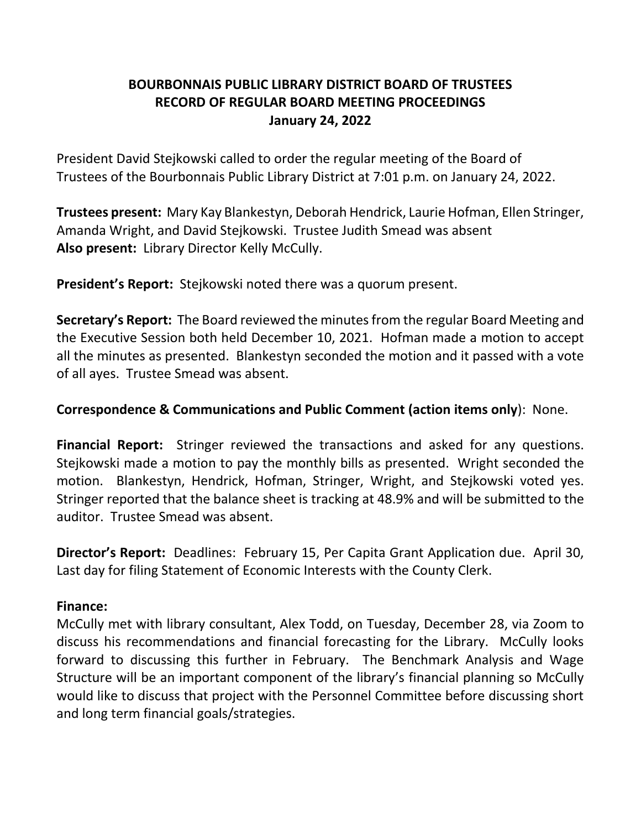# **BOURBONNAIS PUBLIC LIBRARY DISTRICT BOARD OF TRUSTEES RECORD OF REGULAR BOARD MEETING PROCEEDINGS January 24, 2022**

President David Stejkowski called to order the regular meeting of the Board of Trustees of the Bourbonnais Public Library District at 7:01 p.m. on January 24, 2022.

**Trustees present:** Mary Kay Blankestyn, Deborah Hendrick, Laurie Hofman, Ellen Stringer, Amanda Wright, and David Stejkowski. Trustee Judith Smead was absent **Also present:** Library Director Kelly McCully.

**President's Report:** Stejkowski noted there was a quorum present.

**Secretary's Report:** The Board reviewed the minutes from the regular Board Meeting and the Executive Session both held December 10, 2021. Hofman made a motion to accept all the minutes as presented. Blankestyn seconded the motion and it passed with a vote of all ayes. Trustee Smead was absent.

#### **Correspondence & Communications and Public Comment (action items only**): None.

**Financial Report:** Stringer reviewed the transactions and asked for any questions. Stejkowski made a motion to pay the monthly bills as presented. Wright seconded the motion. Blankestyn, Hendrick, Hofman, Stringer, Wright, and Stejkowski voted yes. Stringer reported that the balance sheet is tracking at 48.9% and will be submitted to the auditor. Trustee Smead was absent.

**Director's Report:** Deadlines: February 15, Per Capita Grant Application due. April 30, Last day for filing Statement of Economic Interests with the County Clerk.

#### **Finance:**

McCully met with library consultant, Alex Todd, on Tuesday, December 28, via Zoom to discuss his recommendations and financial forecasting for the Library. McCully looks forward to discussing this further in February. The Benchmark Analysis and Wage Structure will be an important component of the library's financial planning so McCully would like to discuss that project with the Personnel Committee before discussing short and long term financial goals/strategies.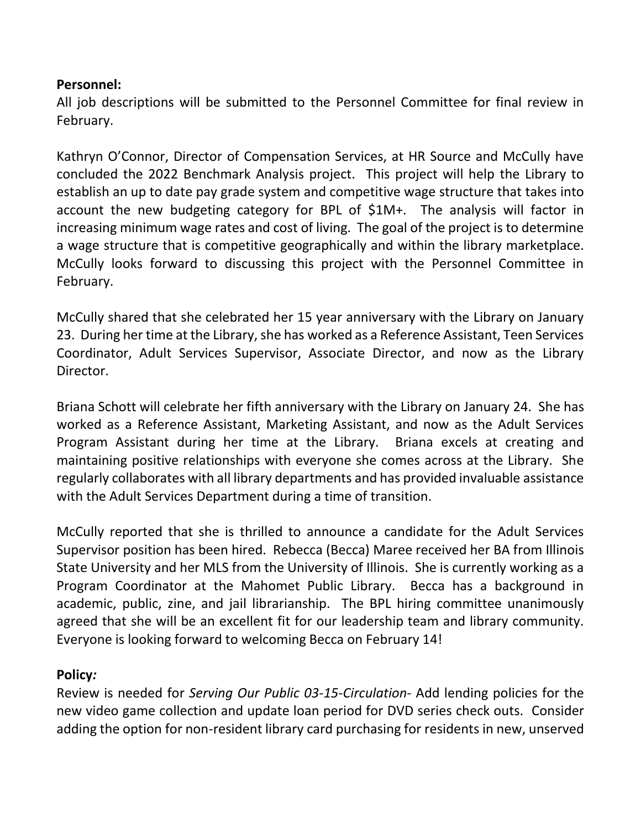### **Personnel:**

All job descriptions will be submitted to the Personnel Committee for final review in February.

Kathryn O'Connor, Director of Compensation Services, at HR Source and McCully have concluded the 2022 Benchmark Analysis project. This project will help the Library to establish an up to date pay grade system and competitive wage structure that takes into account the new budgeting category for BPL of \$1M+. The analysis will factor in increasing minimum wage rates and cost of living. The goal of the project is to determine a wage structure that is competitive geographically and within the library marketplace. McCully looks forward to discussing this project with the Personnel Committee in February.

McCully shared that she celebrated her 15 year anniversary with the Library on January 23. During her time at the Library, she has worked as a Reference Assistant, Teen Services Coordinator, Adult Services Supervisor, Associate Director, and now as the Library Director.

Briana Schott will celebrate her fifth anniversary with the Library on January 24. She has worked as a Reference Assistant, Marketing Assistant, and now as the Adult Services Program Assistant during her time at the Library. Briana excels at creating and maintaining positive relationships with everyone she comes across at the Library. She regularly collaborates with all library departments and has provided invaluable assistance with the Adult Services Department during a time of transition.

McCully reported that she is thrilled to announce a candidate for the Adult Services Supervisor position has been hired. Rebecca (Becca) Maree received her BA from Illinois State University and her MLS from the University of Illinois. She is currently working as a Program Coordinator at the Mahomet Public Library. Becca has a background in academic, public, zine, and jail librarianship. The BPL hiring committee unanimously agreed that she will be an excellent fit for our leadership team and library community. Everyone is looking forward to welcoming Becca on February 14!

### **Policy***:*

Review is needed for *Serving Our Public 03-15-Circulation*- Add lending policies for the new video game collection and update loan period for DVD series check outs. Consider adding the option for non-resident library card purchasing for residents in new, unserved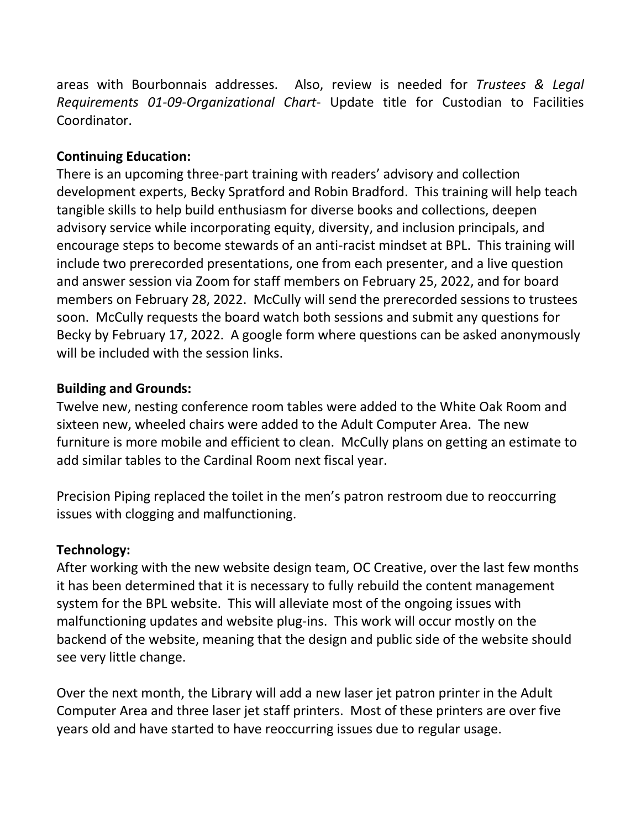areas with Bourbonnais addresses. Also, review is needed for *Trustees & Legal Requirements 01-09-Organizational Chart*- Update title for Custodian to Facilities Coordinator.

### **Continuing Education:**

There is an upcoming three-part training with readers' advisory and collection development experts, Becky Spratford and Robin Bradford. This training will help teach tangible skills to help build enthusiasm for diverse books and collections, deepen advisory service while incorporating equity, diversity, and inclusion principals, and encourage steps to become stewards of an anti-racist mindset at BPL. This training will include two prerecorded presentations, one from each presenter, and a live question and answer session via Zoom for staff members on February 25, 2022, and for board members on February 28, 2022. McCully will send the prerecorded sessions to trustees soon. McCully requests the board watch both sessions and submit any questions for Becky by February 17, 2022. A google form where questions can be asked anonymously will be included with the session links.

### **Building and Grounds:**

Twelve new, nesting conference room tables were added to the White Oak Room and sixteen new, wheeled chairs were added to the Adult Computer Area. The new furniture is more mobile and efficient to clean. McCully plans on getting an estimate to add similar tables to the Cardinal Room next fiscal year.

Precision Piping replaced the toilet in the men's patron restroom due to reoccurring issues with clogging and malfunctioning.

### **Technology:**

After working with the new website design team, OC Creative, over the last few months it has been determined that it is necessary to fully rebuild the content management system for the BPL website. This will alleviate most of the ongoing issues with malfunctioning updates and website plug-ins. This work will occur mostly on the backend of the website, meaning that the design and public side of the website should see very little change.

Over the next month, the Library will add a new laser jet patron printer in the Adult Computer Area and three laser jet staff printers. Most of these printers are over five years old and have started to have reoccurring issues due to regular usage.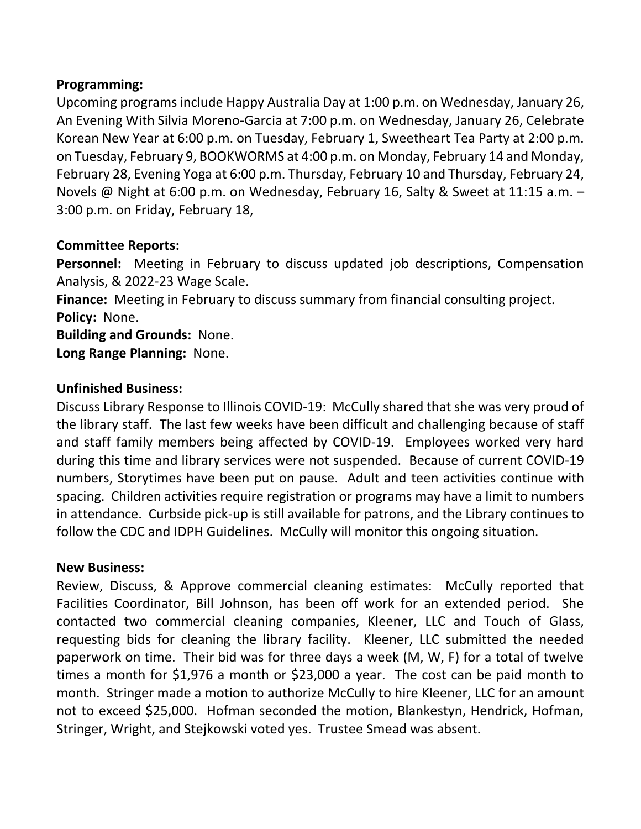### **Programming:**

Upcoming programs include Happy Australia Day at 1:00 p.m. on Wednesday, January 26, An Evening With Silvia Moreno-Garcia at 7:00 p.m. on Wednesday, January 26, Celebrate Korean New Year at 6:00 p.m. on Tuesday, February 1, Sweetheart Tea Party at 2:00 p.m. on Tuesday, February 9, BOOKWORMS at 4:00 p.m. on Monday, February 14 and Monday, February 28, Evening Yoga at 6:00 p.m. Thursday, February 10 and Thursday, February 24, Novels @ Night at 6:00 p.m. on Wednesday, February 16, Salty & Sweet at 11:15 a.m. – 3:00 p.m. on Friday, February 18,

## **Committee Reports:**

**Personnel:** Meeting in February to discuss updated job descriptions, Compensation Analysis, & 2022-23 Wage Scale.

**Finance:** Meeting in February to discuss summary from financial consulting project. **Policy:** None.

**Building and Grounds:** None. **Long Range Planning:** None.

# **Unfinished Business:**

Discuss Library Response to Illinois COVID-19: McCully shared that she was very proud of the library staff. The last few weeks have been difficult and challenging because of staff and staff family members being affected by COVID-19. Employees worked very hard during this time and library services were not suspended. Because of current COVID-19 numbers, Storytimes have been put on pause. Adult and teen activities continue with spacing. Children activities require registration or programs may have a limit to numbers in attendance. Curbside pick-up is still available for patrons, and the Library continues to follow the CDC and IDPH Guidelines. McCully will monitor this ongoing situation.

### **New Business:**

Review, Discuss, & Approve commercial cleaning estimates: McCully reported that Facilities Coordinator, Bill Johnson, has been off work for an extended period. She contacted two commercial cleaning companies, Kleener, LLC and Touch of Glass, requesting bids for cleaning the library facility. Kleener, LLC submitted the needed paperwork on time. Their bid was for three days a week (M, W, F) for a total of twelve times a month for \$1,976 a month or \$23,000 a year. The cost can be paid month to month. Stringer made a motion to authorize McCully to hire Kleener, LLC for an amount not to exceed \$25,000. Hofman seconded the motion, Blankestyn, Hendrick, Hofman, Stringer, Wright, and Stejkowski voted yes. Trustee Smead was absent.